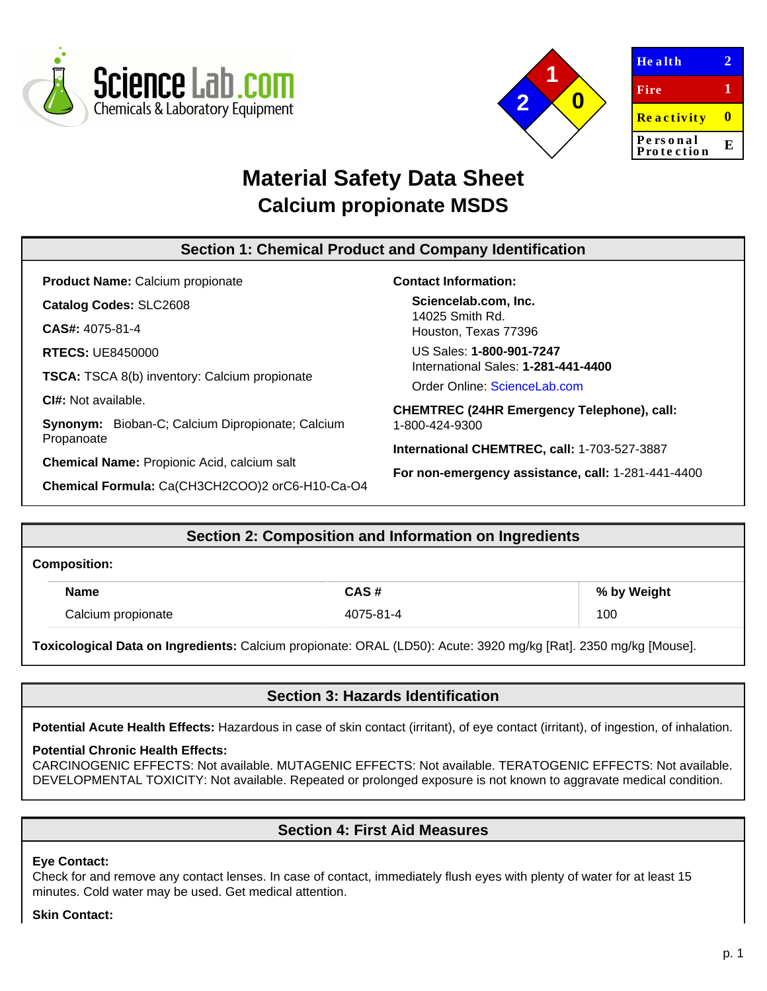



| <b>Health</b>          |   |
|------------------------|---|
| <b>Fire</b>            | 1 |
| <b>Reactivity</b>      | o |
| Personal<br>Protection | E |
|                        |   |

# **Material Safety Data Sheet Calcium propionate MSDS**

#### **Section 1: Chemical Product and Company Identification Product Name:** Calcium propionate **Catalog Codes:** SLC2608 **CAS#:** 4075-81-4 **RTECS:** UE8450000 **TSCA:** TSCA 8(b) inventory: Calcium propionate **CI#:** Not available. **Synonym:** Bioban-C; Calcium Dipropionate; Calcium Propanoate **Chemical Name:** Propionic Acid, calcium salt **Chemical Formula:** Ca(CH3CH2COO)2 orC6-H10-Ca-O4 **Contact Information: Sciencelab.com, Inc.** 14025 Smith Rd. Houston, Texas 77396 US Sales: **1-800-901-7247** International Sales: **1-281-441-4400** Order Online: [ScienceLab.com](http://www.sciencelab.com/) **CHEMTREC (24HR Emergency Telephone), call:** 1-800-424-9300 **International CHEMTREC, call:** 1-703-527-3887 **For non-emergency assistance, call:** 1-281-441-4400

# **Section 2: Composition and Information on Ingredients**

#### **Composition:**

| Name               | CAS #   | % by Weight |
|--------------------|---------|-------------|
| Calcium propionate | 75-81-4 | 100         |

**Toxicological Data on Ingredients:** Calcium propionate: ORAL (LD50): Acute: 3920 mg/kg [Rat]. 2350 mg/kg [Mouse].

### **Section 3: Hazards Identification**

**Potential Acute Health Effects:** Hazardous in case of skin contact (irritant), of eye contact (irritant), of ingestion, of inhalation.

### **Potential Chronic Health Effects:**

CARCINOGENIC EFFECTS: Not available. MUTAGENIC EFFECTS: Not available. TERATOGENIC EFFECTS: Not available. DEVELOPMENTAL TOXICITY: Not available. Repeated or prolonged exposure is not known to aggravate medical condition.

### **Section 4: First Aid Measures**

### **Eye Contact:**

Check for and remove any contact lenses. In case of contact, immediately flush eyes with plenty of water for at least 15 minutes. Cold water may be used. Get medical attention.

#### **Skin Contact:**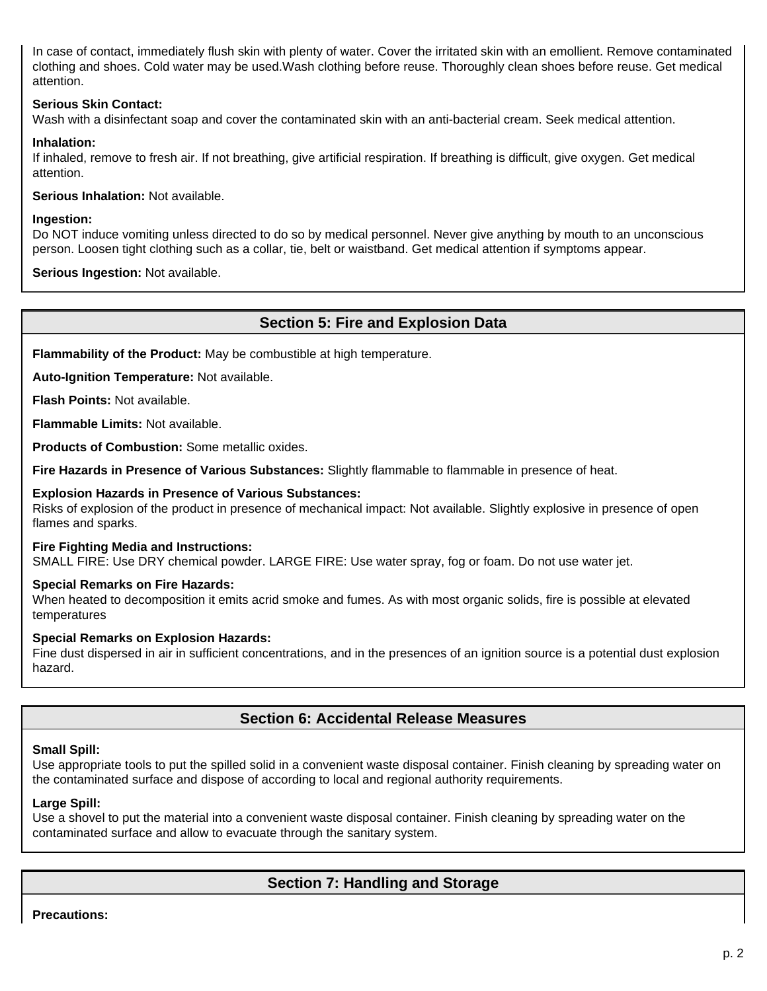In case of contact, immediately flush skin with plenty of water. Cover the irritated skin with an emollient. Remove contaminated clothing and shoes. Cold water may be used.Wash clothing before reuse. Thoroughly clean shoes before reuse. Get medical attention.

### **Serious Skin Contact:**

Wash with a disinfectant soap and cover the contaminated skin with an anti-bacterial cream. Seek medical attention.

### **Inhalation:**

If inhaled, remove to fresh air. If not breathing, give artificial respiration. If breathing is difficult, give oxygen. Get medical attention.

**Serious Inhalation:** Not available.

### **Ingestion:**

Do NOT induce vomiting unless directed to do so by medical personnel. Never give anything by mouth to an unconscious person. Loosen tight clothing such as a collar, tie, belt or waistband. Get medical attention if symptoms appear.

**Serious Ingestion:** Not available.

### **Section 5: Fire and Explosion Data**

**Flammability of the Product:** May be combustible at high temperature.

**Auto-Ignition Temperature:** Not available.

**Flash Points:** Not available.

**Flammable Limits:** Not available.

**Products of Combustion:** Some metallic oxides.

**Fire Hazards in Presence of Various Substances:** Slightly flammable to flammable in presence of heat.

### **Explosion Hazards in Presence of Various Substances:**

Risks of explosion of the product in presence of mechanical impact: Not available. Slightly explosive in presence of open flames and sparks.

#### **Fire Fighting Media and Instructions:**

SMALL FIRE: Use DRY chemical powder. LARGE FIRE: Use water spray, fog or foam. Do not use water jet.

### **Special Remarks on Fire Hazards:**

When heated to decomposition it emits acrid smoke and fumes. As with most organic solids, fire is possible at elevated temperatures

### **Special Remarks on Explosion Hazards:**

Fine dust dispersed in air in sufficient concentrations, and in the presences of an ignition source is a potential dust explosion hazard.

### **Section 6: Accidental Release Measures**

### **Small Spill:**

Use appropriate tools to put the spilled solid in a convenient waste disposal container. Finish cleaning by spreading water on the contaminated surface and dispose of according to local and regional authority requirements.

#### **Large Spill:**

Use a shovel to put the material into a convenient waste disposal container. Finish cleaning by spreading water on the contaminated surface and allow to evacuate through the sanitary system.

## **Section 7: Handling and Storage**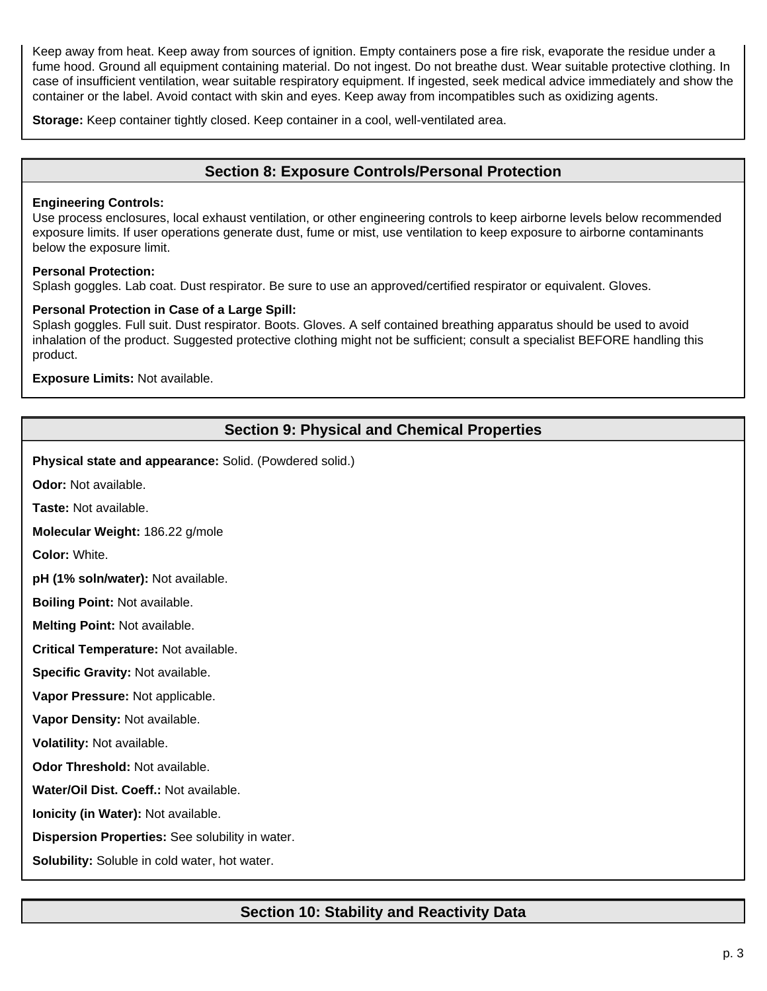Keep away from heat. Keep away from sources of ignition. Empty containers pose a fire risk, evaporate the residue under a fume hood. Ground all equipment containing material. Do not ingest. Do not breathe dust. Wear suitable protective clothing. In case of insufficient ventilation, wear suitable respiratory equipment. If ingested, seek medical advice immediately and show the container or the label. Avoid contact with skin and eyes. Keep away from incompatibles such as oxidizing agents.

**Storage:** Keep container tightly closed. Keep container in a cool, well-ventilated area.

### **Section 8: Exposure Controls/Personal Protection**

#### **Engineering Controls:**

Use process enclosures, local exhaust ventilation, or other engineering controls to keep airborne levels below recommended exposure limits. If user operations generate dust, fume or mist, use ventilation to keep exposure to airborne contaminants below the exposure limit.

### **Personal Protection:**

Splash goggles. Lab coat. Dust respirator. Be sure to use an approved/certified respirator or equivalent. Gloves.

### **Personal Protection in Case of a Large Spill:**

Splash goggles. Full suit. Dust respirator. Boots. Gloves. A self contained breathing apparatus should be used to avoid inhalation of the product. Suggested protective clothing might not be sufficient; consult a specialist BEFORE handling this product.

**Exposure Limits:** Not available.

# **Section 9: Physical and Chemical Properties**

**Physical state and appearance:** Solid. (Powdered solid.)

**Odor:** Not available.

**Taste:** Not available.

**Molecular Weight:** 186.22 g/mole

**Color:** White.

**pH (1% soln/water):** Not available.

**Boiling Point:** Not available.

**Melting Point:** Not available.

**Critical Temperature:** Not available.

**Specific Gravity:** Not available.

**Vapor Pressure:** Not applicable.

**Vapor Density:** Not available.

**Volatility:** Not available.

**Odor Threshold:** Not available.

**Water/Oil Dist. Coeff.:** Not available.

**Ionicity (in Water):** Not available.

**Dispersion Properties:** See solubility in water.

**Solubility:** Soluble in cold water, hot water.

# **Section 10: Stability and Reactivity Data**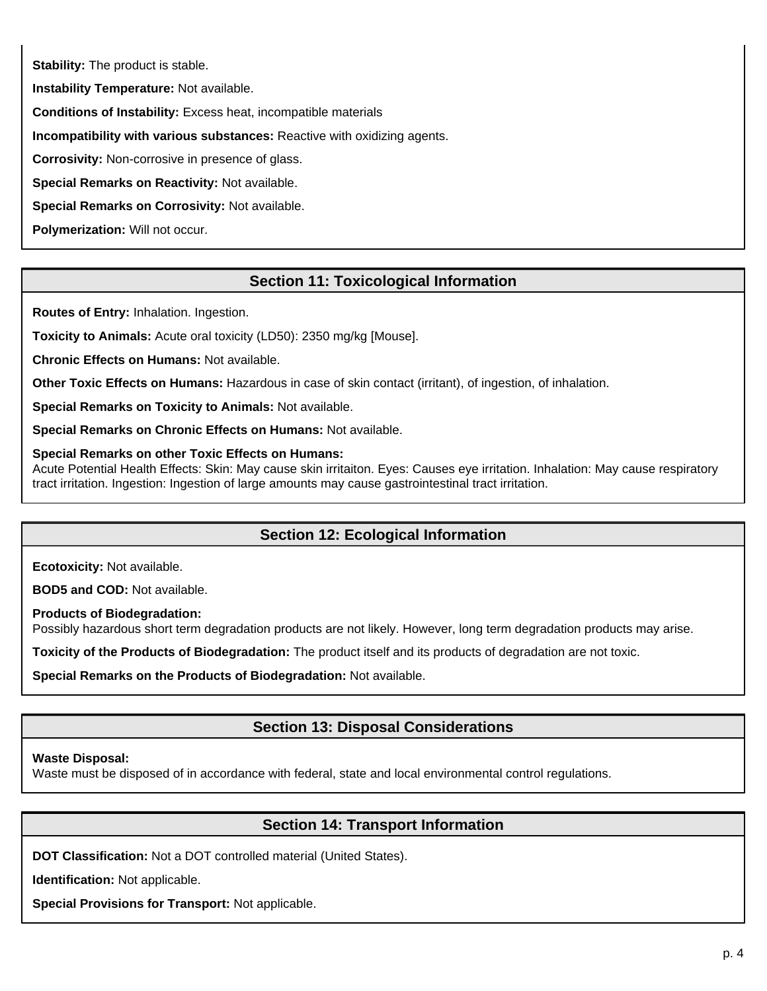**Stability:** The product is stable.

**Instability Temperature:** Not available.

**Conditions of Instability:** Excess heat, incompatible materials

**Incompatibility with various substances:** Reactive with oxidizing agents.

**Corrosivity:** Non-corrosive in presence of glass.

**Special Remarks on Reactivity:** Not available.

**Special Remarks on Corrosivity:** Not available.

**Polymerization:** Will not occur.

# **Section 11: Toxicological Information**

**Routes of Entry:** Inhalation. Ingestion.

**Toxicity to Animals:** Acute oral toxicity (LD50): 2350 mg/kg [Mouse].

**Chronic Effects on Humans:** Not available.

**Other Toxic Effects on Humans:** Hazardous in case of skin contact (irritant), of ingestion, of inhalation.

**Special Remarks on Toxicity to Animals:** Not available.

**Special Remarks on Chronic Effects on Humans:** Not available.

**Special Remarks on other Toxic Effects on Humans:**

Acute Potential Health Effects: Skin: May cause skin irritaiton. Eyes: Causes eye irritation. Inhalation: May cause respiratory tract irritation. Ingestion: Ingestion of large amounts may cause gastrointestinal tract irritation.

### **Section 12: Ecological Information**

**Ecotoxicity:** Not available.

**BOD5 and COD:** Not available.

**Products of Biodegradation:**

Possibly hazardous short term degradation products are not likely. However, long term degradation products may arise.

**Toxicity of the Products of Biodegradation:** The product itself and its products of degradation are not toxic.

**Special Remarks on the Products of Biodegradation:** Not available.

# **Section 13: Disposal Considerations**

### **Waste Disposal:**

Waste must be disposed of in accordance with federal, state and local environmental control regulations.

### **Section 14: Transport Information**

**DOT Classification:** Not a DOT controlled material (United States).

**Identification:** Not applicable.

**Special Provisions for Transport:** Not applicable.